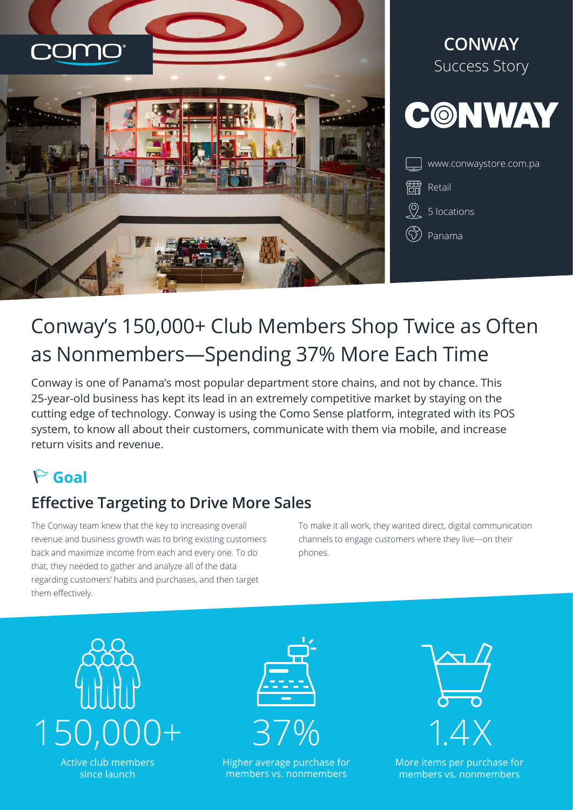



# Conway's 150,000+ Club Members Shop Twice as Often as Nonmembers—Spending 37% More Each Time

Conway is one of Panama's most popular department store chains, and not by chance. This 25-year-old business has kept its lead in an extremely competitive market by staying on the cutting edge of technology. Conway is using the Como Sense platform, integrated with its POS system, to know all about their customers, communicate with them via mobile, and increase return visits and revenue.

# **Goal**

## **Effective Targeting to Drive More Sales**

The Conway team knew that the key to increasing overall revenue and business growth was to bring existing customers back and maximize income from each and every one. To do that, they needed to gather and analyze all of the data regarding customers' habits and purchases, and then target them effectively.

To make it all work, they wanted direct, digital communication channels to engage customers where they live—on their phones.



Higher average purchase for members vs. nonmembers



More items per purchase for members vs. nonmembers